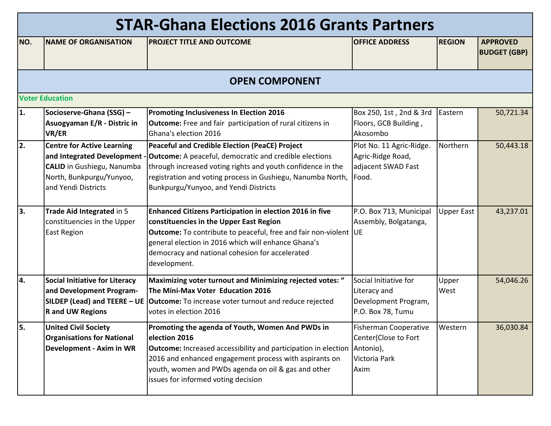|     | <b>STAR-Ghana Elections 2016 Grants Partners</b>                                                                                                          |                                                                                                                                                                                                                                                                                                                 |                                                                                            |                   |                                        |  |  |  |
|-----|-----------------------------------------------------------------------------------------------------------------------------------------------------------|-----------------------------------------------------------------------------------------------------------------------------------------------------------------------------------------------------------------------------------------------------------------------------------------------------------------|--------------------------------------------------------------------------------------------|-------------------|----------------------------------------|--|--|--|
| NO. | <b>NAME OF ORGANISATION</b>                                                                                                                               | <b>PROJECT TITLE AND OUTCOME</b>                                                                                                                                                                                                                                                                                | <b>OFFICE ADDRESS</b>                                                                      | <b>REGION</b>     | <b>APPROVED</b><br><b>BUDGET (GBP)</b> |  |  |  |
|     | <b>OPEN COMPONENT</b>                                                                                                                                     |                                                                                                                                                                                                                                                                                                                 |                                                                                            |                   |                                        |  |  |  |
|     | <b>Voter Education</b>                                                                                                                                    |                                                                                                                                                                                                                                                                                                                 |                                                                                            |                   |                                        |  |  |  |
| 1.  | Socioserve-Ghana (SSG) -<br>Asuogyaman E/R - Distric in<br>VR/ER                                                                                          | <b>Promoting Inclusiveness In Election 2016</b><br><b>Outcome:</b> Free and fair participation of rural citizens in<br>Ghana's election 2016                                                                                                                                                                    | Box 250, 1st, 2nd & 3rd<br>Floors, GCB Building,<br>Akosombo                               | Eastern           | 50,721.34                              |  |  |  |
| 2.  | <b>Centre for Active Learning</b><br>and Integrated Development -<br><b>CALID</b> in Gushiegu, Nanumba<br>North, Bunkpurgu/Yunyoo,<br>and Yendi Districts | Peaceful and Credible Election (PeaCE) Project<br><b>Outcome:</b> A peaceful, democratic and credible elections<br>through increased voting rights and youth confidence in the<br>registration and voting process in Gushiegu, Nanumba North,<br>Bunkpurgu/Yunyoo, and Yendi Districts                          | Plot No. 11 Agric-Ridge.<br>Agric-Ridge Road,<br>adjacent SWAD Fast<br>Food.               | Northern          | 50,443.18                              |  |  |  |
| 3.  | Trade Aid Integrated in 5<br>constituencies in the Upper<br><b>East Region</b>                                                                            | <b>Enhanced Citizens Participation in election 2016 in five</b><br>constituencies in the Upper East Region<br><b>Outcome:</b> To contribute to peaceful, free and fair non-violent UE<br>general election in 2016 which will enhance Ghana's<br>democracy and national cohesion for accelerated<br>development. | P.O. Box 713, Municipal<br>Assembly, Bolgatanga,                                           | <b>Upper East</b> | 43,237.01                              |  |  |  |
| 4.  | <b>Social Initiative for Literacy</b><br>and Development Program-<br><b>R</b> and UW Regions                                                              | Maximizing voter turnout and Minimizing rejected votes: "<br>The Mini-Max Voter Education 2016<br>SILDEP (Lead) and TEERE - UE   Outcome: To increase voter turnout and reduce rejected<br>votes in election 2016                                                                                               | Social Initiative for<br>Literacy and<br>Development Program,<br>P.O. Box 78, Tumu         | Upper<br>West     | 54,046.26                              |  |  |  |
| 5.  | <b>United Civil Society</b><br><b>Organisations for National</b><br>Development - Axim in WR                                                              | Promoting the agenda of Youth, Women And PWDs in<br>election 2016<br><b>Outcome:</b> Increased accessibility and participation in election<br>2016 and enhanced engagement process with aspirants on<br>youth, women and PWDs agenda on oil & gas and other<br>issues for informed voting decision              | <b>Fisherman Cooperative</b><br>Center(Close to Fort<br>Antonio),<br>Victoria Park<br>Axim | Western           | 36,030.84                              |  |  |  |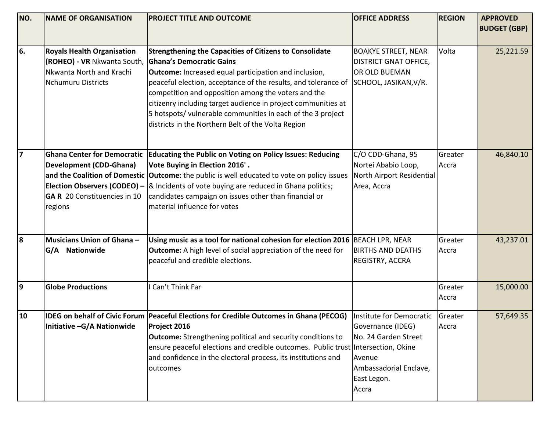| NO. | <b>NAME OF ORGANISATION</b>                                                                                               | <b>PROJECT TITLE AND OUTCOME</b>                                                                                                                                                                                                                                                                                                                                                                                                                                                 | <b>OFFICE ADDRESS</b>                                                                                                             | <b>REGION</b>     | <b>APPROVED</b>     |
|-----|---------------------------------------------------------------------------------------------------------------------------|----------------------------------------------------------------------------------------------------------------------------------------------------------------------------------------------------------------------------------------------------------------------------------------------------------------------------------------------------------------------------------------------------------------------------------------------------------------------------------|-----------------------------------------------------------------------------------------------------------------------------------|-------------------|---------------------|
|     |                                                                                                                           |                                                                                                                                                                                                                                                                                                                                                                                                                                                                                  |                                                                                                                                   |                   | <b>BUDGET (GBP)</b> |
| 6.  | <b>Royals Health Organisation</b><br>(ROHEO) - VR Nkwanta South,<br>Nkwanta North and Krachi<br><b>Nchumuru Districts</b> | <b>Strengthening the Capacities of Citizens to Consolidate</b><br><b>Ghana's Democratic Gains</b><br><b>Outcome:</b> Increased equal participation and inclusion,<br>peaceful election, acceptance of the results, and tolerance of<br>competition and opposition among the voters and the<br>citizenry including target audience in project communities at<br>5 hotspots/ vulnerable communities in each of the 3 project<br>districts in the Northern Belt of the Volta Region | <b>BOAKYE STREET, NEAR</b><br><b>DISTRICT GNAT OFFICE,</b><br>OR OLD BUEMAN<br>SCHOOL, JASIKAN, V/R.                              | Volta             | 25,221.59           |
| 17  | <b>Development (CDD-Ghana)</b><br><b>GA R</b> 20 Constituencies in 10<br>regions                                          | Ghana Center for Democratic   Educating the Public on Voting on Policy Issues: Reducing<br>Vote Buying in Election 2016'.<br>and the Coalition of Domestic Outcome: the public is well educated to vote on policy issues<br><b>Election Observers (CODEO)</b> – $\&$ Incidents of vote buying are reduced in Ghana politics;<br>candidates campaign on issues other than financial or<br>material influence for votes                                                            | C/O CDD-Ghana, 95<br>Nortei Ababio Loop,<br>North Airport Residential<br>Area, Accra                                              | Greater<br>Accra  | 46,840.10           |
| 8   | Musicians Union of Ghana-<br>G/A Nationwide                                                                               | Using music as a tool for national cohesion for election 2016<br><b>Outcome:</b> A high level of social appreciation of the need for<br>peaceful and credible elections.                                                                                                                                                                                                                                                                                                         | <b>BEACH LPR, NEAR</b><br><b>BIRTHS AND DEATHS</b><br>REGISTRY, ACCRA                                                             | Greater<br>Accra  | 43,237.01           |
| 9   | <b>Globe Productions</b>                                                                                                  | Can't Think Far                                                                                                                                                                                                                                                                                                                                                                                                                                                                  |                                                                                                                                   | Greater<br>Accra  | 15,000.00           |
| 10  | Initiative -G/A Nationwide                                                                                                | IDEG on behalf of Civic Forum Peaceful Elections for Credible Outcomes in Ghana (PECOG)<br>Project 2016<br><b>Outcome:</b> Strengthening political and security conditions to<br>ensure peaceful elections and credible outcomes. Public trust Intersection, Okine<br>and confidence in the electoral process, its institutions and<br>outcomes                                                                                                                                  | Institute for Democratic<br>Governance (IDEG)<br>No. 24 Garden Street<br>Avenue<br>Ambassadorial Enclave,<br>East Legon.<br>Accra | Greater<br> Accra | 57,649.35           |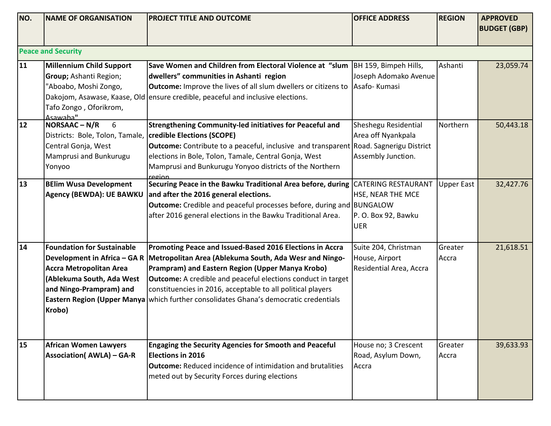| NO.  | <b>NAME OF ORGANISATION</b>       | PROJECT TITLE AND OUTCOME                                                                    | <b>OFFICE ADDRESS</b>   | <b>REGION</b>     | <b>APPROVED</b>     |  |  |
|------|-----------------------------------|----------------------------------------------------------------------------------------------|-------------------------|-------------------|---------------------|--|--|
|      |                                   |                                                                                              |                         |                   | <b>BUDGET (GBP)</b> |  |  |
|      |                                   |                                                                                              |                         |                   |                     |  |  |
|      | <b>Peace and Security</b>         |                                                                                              |                         |                   |                     |  |  |
| 11   | <b>Millennium Child Support</b>   | Save Women and Children from Electoral Violence at "slum   BH 159, Bimpeh Hills,             |                         | Ashanti           | 23,059.74           |  |  |
|      | Group; Ashanti Region;            | dwellers" communities in Ashanti region                                                      | Joseph Adomako Avenue   |                   |                     |  |  |
|      | "Aboabo, Moshi Zongo,             | <b>Outcome:</b> Improve the lives of all slum dwellers or citizens to Asafo-Kumasi           |                         |                   |                     |  |  |
|      |                                   | Dakojom, Asawase, Kaase, Old ensure credible, peaceful and inclusive elections.              |                         |                   |                     |  |  |
|      | Tafo Zongo, Oforikrom,            |                                                                                              |                         |                   |                     |  |  |
|      | Asawaha"                          |                                                                                              |                         |                   |                     |  |  |
| $12$ | NORSAAC-N/R<br>6                  | Strengthening Community-led initiatives for Peaceful and                                     | Sheshegu Residential    | Northern          | 50,443.18           |  |  |
|      | Districts: Bole, Tolon, Tamale,   | credible Elections (SCOPE)                                                                   | Area off Nyankpala      |                   |                     |  |  |
|      | Central Gonja, West               | <b>Outcome:</b> Contribute to a peaceful, inclusive and transparent Road. Sagnerigu District |                         |                   |                     |  |  |
|      | Mamprusi and Bunkurugu            | elections in Bole, Tolon, Tamale, Central Gonja, West                                        | Assembly Junction.      |                   |                     |  |  |
|      | Yonyoo                            | Mamprusi and Bunkurugu Yonyoo districts of the Northern<br>region                            |                         |                   |                     |  |  |
| 13   | <b>BElim Wusa Development</b>     | Securing Peace in the Bawku Traditional Area before, during CATERING RESTAURANT              |                         | <b>Upper East</b> | 32,427.76           |  |  |
|      | Agency (BEWDA): UE BAWKU          | and after the 2016 general elections.                                                        | HSE, NEAR THE MCE       |                   |                     |  |  |
|      |                                   | <b>Outcome:</b> Credible and peaceful processes before, during and BUNGALOW                  |                         |                   |                     |  |  |
|      |                                   | after 2016 general elections in the Bawku Traditional Area.                                  | P.O. Box 92, Bawku      |                   |                     |  |  |
|      |                                   |                                                                                              | <b>UER</b>              |                   |                     |  |  |
|      |                                   |                                                                                              |                         |                   |                     |  |  |
| 14   | <b>Foundation for Sustainable</b> | Promoting Peace and Issued-Based 2016 Elections in Accra                                     | Suite 204, Christman    | Greater           | 21,618.51           |  |  |
|      | Development in Africa - GA R      | Metropolitan Area (Ablekuma South, Ada Wesr and Ningo-                                       | House, Airport          | Accra             |                     |  |  |
|      | <b>Accra Metropolitan Area</b>    | Prampram) and Eastern Region (Upper Manya Krobo)                                             | Residential Area, Accra |                   |                     |  |  |
|      | (Ablekuma South, Ada West         | <b>Outcome:</b> A credible and peaceful elections conduct in target                          |                         |                   |                     |  |  |
|      | and Ningo-Prampram) and           | constituencies in 2016, acceptable to all political players                                  |                         |                   |                     |  |  |
|      |                                   | Eastern Region (Upper Manya   which further consolidates Ghana's democratic credentials      |                         |                   |                     |  |  |
|      | Krobo)                            |                                                                                              |                         |                   |                     |  |  |
|      |                                   |                                                                                              |                         |                   |                     |  |  |
|      |                                   |                                                                                              |                         |                   |                     |  |  |
| 15   | <b>African Women Lawyers</b>      | <b>Engaging the Security Agencies for Smooth and Peaceful</b>                                | House no; 3 Crescent    | Greater           | 39,633.93           |  |  |
|      | <b>Association( AWLA) - GA-R</b>  | <b>Elections in 2016</b>                                                                     | Road, Asylum Down,      | Accra             |                     |  |  |
|      |                                   | <b>Outcome:</b> Reduced incidence of intimidation and brutalities                            | Accra                   |                   |                     |  |  |
|      |                                   | meted out by Security Forces during elections                                                |                         |                   |                     |  |  |
|      |                                   |                                                                                              |                         |                   |                     |  |  |
|      |                                   |                                                                                              |                         |                   |                     |  |  |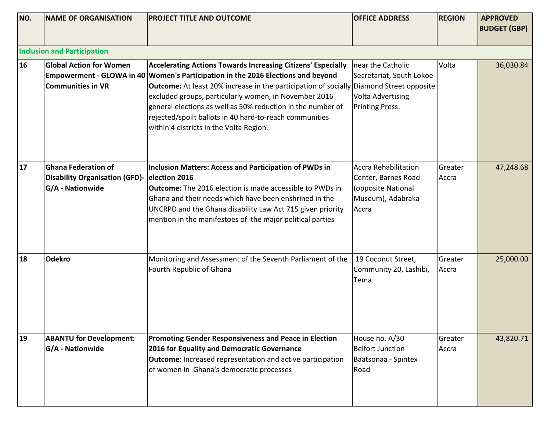| NO. | NAME OF ORGANISATION                                                                           | <b>PROJECT TITLE AND OUTCOME</b>                                                                                                                                                                                                                                                                                                                                                                                                                                                        | <b>OFFICE ADDRESS</b>                                                                                  | <b>REGION</b>    | <b>APPROVED</b><br><b>BUDGET (GBP)</b> |
|-----|------------------------------------------------------------------------------------------------|-----------------------------------------------------------------------------------------------------------------------------------------------------------------------------------------------------------------------------------------------------------------------------------------------------------------------------------------------------------------------------------------------------------------------------------------------------------------------------------------|--------------------------------------------------------------------------------------------------------|------------------|----------------------------------------|
|     | <b>Inclusion and Participation</b>                                                             |                                                                                                                                                                                                                                                                                                                                                                                                                                                                                         |                                                                                                        |                  |                                        |
| 16  | <b>Global Action for Women</b><br><b>Communities in VR</b>                                     | <b>Accelerating Actions Towards Increasing Citizens' Especially</b><br>Empowerment - GLOWA in 40 Women's Participation in the 2016 Elections and beyond<br><b>Outcome:</b> At least 20% increase in the participation of socially Diamond Street opposite<br>excluded groups, particularly women, in November 2016<br>general elections as well as 50% reduction in the number of<br>rejected/spoilt ballots in 40 hard-to-reach communities<br>within 4 districts in the Volta Region. | near the Catholic<br>Secretariat, South Lokoe<br><b>Volta Advertising</b><br>Printing Press.           | Volta            | 36,030.84                              |
| 17  | <b>Ghana Federation of</b><br>Disability Organisation (GFD)- election 2016<br>G/A - Nationwide | Inclusion Matters: Access and Participation of PWDs in<br><b>Outcome:</b> The 2016 election is made accessible to PWDs in<br>Ghana and their needs which have been enshrined in the<br>UNCRPD and the Ghana disability Law Act 715 given priority<br>mention in the manifestoes of the major political parties                                                                                                                                                                          | <b>Accra Rehabilitation</b><br>Center, Barnes Road<br>(opposite National<br>Museum), Adabraka<br>Accra | Greater<br>Accra | 47,248.68                              |
| 18  | <b>Odekro</b>                                                                                  | Monitoring and Assessment of the Seventh Parliament of the<br>Fourth Republic of Ghana                                                                                                                                                                                                                                                                                                                                                                                                  | 19 Coconut Street,<br>Community 20, Lashibi,<br>Tema                                                   | Greater<br>Accra | 25,000.00                              |
| 19  | <b>ABANTU for Development:</b><br>G/A - Nationwide                                             | <b>Promoting Gender Responsiveness and Peace in Election</b><br>2016 for Equality and Democratic Governance<br><b>Outcome:</b> Increased representation and active participation<br>of women in Ghana's democratic processes                                                                                                                                                                                                                                                            | House no. A/30<br><b>Belfort Junction</b><br>Baatsonaa - Spintex<br>Road                               | Greater<br>Accra | 43,820.71                              |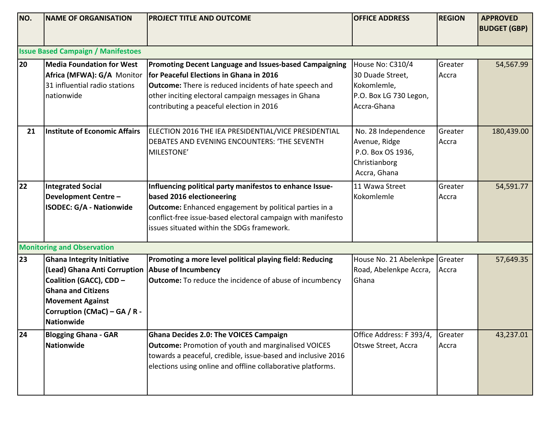| NO. | <b>NAME OF ORGANISATION</b>                                                                                                                                                                        | <b>PROJECT TITLE AND OUTCOME</b>                                                                                                                                                                                                                                      | <b>OFFICE ADDRESS</b>                                                                        | <b>REGION</b>    | <b>APPROVED</b><br><b>BUDGET (GBP)</b> |  |  |
|-----|----------------------------------------------------------------------------------------------------------------------------------------------------------------------------------------------------|-----------------------------------------------------------------------------------------------------------------------------------------------------------------------------------------------------------------------------------------------------------------------|----------------------------------------------------------------------------------------------|------------------|----------------------------------------|--|--|
|     |                                                                                                                                                                                                    |                                                                                                                                                                                                                                                                       |                                                                                              |                  |                                        |  |  |
|     | <b>Issue Based Campaign / Manifestoes</b>                                                                                                                                                          |                                                                                                                                                                                                                                                                       |                                                                                              |                  |                                        |  |  |
| 20  | Media Foundation for West<br>Africa (MFWA): G/A Monitor<br>31 influential radio stations<br>nationwide                                                                                             | Promoting Decent Language and Issues-based Campaigning<br>for Peaceful Elections in Ghana in 2016<br><b>Outcome:</b> There is reduced incidents of hate speech and<br>other inciting electoral campaign messages in Ghana<br>contributing a peaceful election in 2016 | House No: C310/4<br>30 Duade Street,<br>Kokomlemle,<br>P.O. Box LG 730 Legon,<br>Accra-Ghana | Greater<br>Accra | 54,567.99                              |  |  |
| 21  | Institute of Economic Affairs                                                                                                                                                                      | ELECTION 2016 THE IEA PRESIDENTIAL/VICE PRESIDENTIAL<br>DEBATES AND EVENING ENCOUNTERS: 'THE SEVENTH<br>MILESTONE'                                                                                                                                                    | No. 28 Independence<br>Avenue, Ridge<br>P.O. Box OS 1936,<br>Christianborg<br>Accra, Ghana   | Greater<br>Accra | 180,439.00                             |  |  |
| 22  | <b>Integrated Social</b><br><b>Development Centre-</b><br><b>ISODEC: G/A - Nationwide</b>                                                                                                          | Influencing political party manifestos to enhance Issue-<br>based 2016 electioneering<br><b>Outcome:</b> Enhanced engagement by political parties in a<br>conflict-free issue-based electoral campaign with manifesto<br>issues situated within the SDGs framework.   | 11 Wawa Street<br>Kokomlemle                                                                 | Greater<br>Accra | 54,591.77                              |  |  |
|     | <b>Monitoring and Observation</b>                                                                                                                                                                  |                                                                                                                                                                                                                                                                       |                                                                                              |                  |                                        |  |  |
| 23  | <b>Ghana Integrity Initiative</b><br>(Lead) Ghana Anti Corruption<br>Coalition (GACC), CDD -<br><b>Ghana and Citizens</b><br><b>Movement Against</b><br>Corruption (CMaC) - GA / R -<br>Nationwide | Promoting a more level political playing field: Reducing<br>Abuse of Incumbency<br><b>Outcome:</b> To reduce the incidence of abuse of incumbency                                                                                                                     | House No. 21 Abelenkpe Greater<br>Road, Abelenkpe Accra,<br>Ghana                            | Accra            | 57,649.35                              |  |  |
| 24  | <b>Blogging Ghana - GAR</b><br>Nationwide                                                                                                                                                          | <b>Ghana Decides 2.0: The VOICES Campaign</b><br><b>Outcome: Promotion of youth and marginalised VOICES</b><br>towards a peaceful, credible, issue-based and inclusive 2016<br>elections using online and offline collaborative platforms.                            | Office Address: F 393/4,<br>Otswe Street, Accra                                              | Greater<br>Accra | 43,237.01                              |  |  |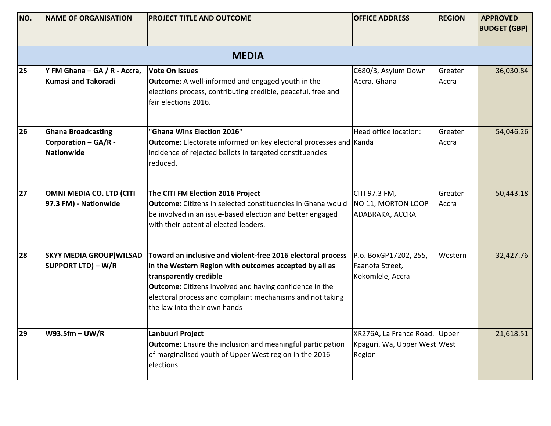| NO. | <b>NAME OF ORGANISATION</b>                                     | <b>PROJECT TITLE AND OUTCOME</b>                                                                                                                                                                                                                                                                               | <b>OFFICE ADDRESS</b>                                                   | <b>REGION</b>    | <b>APPROVED</b><br><b>BUDGET (GBP)</b> |  |  |  |
|-----|-----------------------------------------------------------------|----------------------------------------------------------------------------------------------------------------------------------------------------------------------------------------------------------------------------------------------------------------------------------------------------------------|-------------------------------------------------------------------------|------------------|----------------------------------------|--|--|--|
|     | <b>MEDIA</b>                                                    |                                                                                                                                                                                                                                                                                                                |                                                                         |                  |                                        |  |  |  |
| 25  | Y FM Ghana - GA / R - Accra,<br><b>Kumasi and Takoradi</b>      | <b>Vote On Issues</b><br><b>Outcome:</b> A well-informed and engaged youth in the<br>elections process, contributing credible, peaceful, free and<br>fair elections 2016.                                                                                                                                      | C680/3, Asylum Down<br>Accra, Ghana                                     | Greater<br>Accra | 36,030.84                              |  |  |  |
| 26  | <b>Ghana Broadcasting</b><br>Corporation - GA/R -<br>Nationwide | "Ghana Wins Election 2016"<br><b>Outcome:</b> Electorate informed on key electoral processes and Kanda<br>incidence of rejected ballots in targeted constituencies<br>reduced.                                                                                                                                 | Head office location:                                                   | Greater<br>Accra | 54,046.26                              |  |  |  |
| 27  | OMNI MEDIA CO. LTD (CITI<br>97.3 FM) - Nationwide               | The CITI FM Election 2016 Project<br><b>Outcome:</b> Citizens in selected constituencies in Ghana would<br>be involved in an issue-based election and better engaged<br>with their potential elected leaders.                                                                                                  | CITI 97.3 FM,<br>NO 11, MORTON LOOP<br>ADABRAKA, ACCRA                  | Greater<br>Accra | 50,443.18                              |  |  |  |
| 28  | <b>SKYY MEDIA GROUP (WILSAD</b><br><b>SUPPORT LTD) - W/R</b>    | Toward an inclusive and violent-free 2016 electoral process<br>in the Western Region with outcomes accepted by all as<br>transparently credible<br><b>Outcome:</b> Citizens involved and having confidence in the<br>electoral process and complaint mechanisms and not taking<br>the law into their own hands | P.o. BoxGP17202, 255,<br>Faanofa Street,<br>Kokomlele, Accra            | Western          | 32,427.76                              |  |  |  |
| 29  | $W93.5fm - UW/R$                                                | Lanbuuri Project<br><b>Outcome:</b> Ensure the inclusion and meaningful participation<br>of marginalised youth of Upper West region in the 2016<br>elections                                                                                                                                                   | XR276A, La France Road. Upper<br>Kpaguri. Wa, Upper West West<br>Region |                  | 21,618.51                              |  |  |  |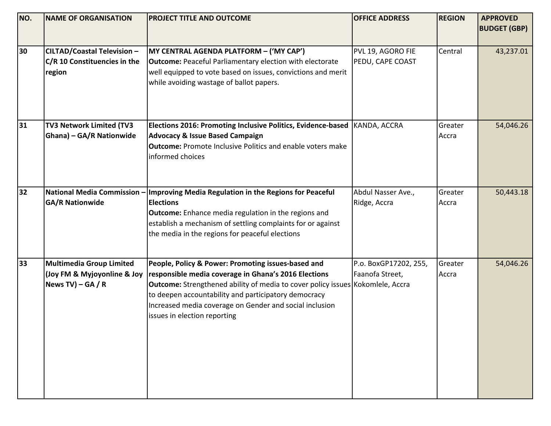| NO.  | <b>INAME OF ORGANISATION</b>                                                 | <b>PROJECT TITLE AND OUTCOME</b>                                                                                                                                                                                                                                                                                                                       | <b>OFFICE ADDRESS</b>                    | <b>REGION</b>    | <b>APPROVED</b>     |
|------|------------------------------------------------------------------------------|--------------------------------------------------------------------------------------------------------------------------------------------------------------------------------------------------------------------------------------------------------------------------------------------------------------------------------------------------------|------------------------------------------|------------------|---------------------|
|      |                                                                              |                                                                                                                                                                                                                                                                                                                                                        |                                          |                  | <b>BUDGET (GBP)</b> |
| 30   | <b>CILTAD/Coastal Television -</b><br>C/R 10 Constituencies in the<br>region | MY CENTRAL AGENDA PLATFORM - ('MY CAP')<br><b>Outcome:</b> Peaceful Parliamentary election with electorate<br>well equipped to vote based on issues, convictions and merit<br>while avoiding wastage of ballot papers.                                                                                                                                 | PVL 19, AGORO FIE<br>PEDU, CAPE COAST    | Central          | 43,237.01           |
| 31   | TV3 Network Limited (TV3<br><b>Ghana) - GA/R Nationwide</b>                  | Elections 2016: Promoting Inclusive Politics, Evidence-based<br><b>Advocacy &amp; Issue Based Campaign</b><br><b>Outcome:</b> Promote Inclusive Politics and enable voters make<br>informed choices                                                                                                                                                    | KANDA, ACCRA                             | Greater<br>Accra | 54,046.26           |
| $32$ | National Media Commission<br><b>GA/R Nationwide</b>                          | Improving Media Regulation in the Regions for Peaceful<br><b>Elections</b><br>Outcome: Enhance media regulation in the regions and<br>establish a mechanism of settling complaints for or against<br>the media in the regions for peaceful elections                                                                                                   | Abdul Nasser Ave.,<br>Ridge, Accra       | Greater<br>Accra | 50,443.18           |
| 33   | Multimedia Group Limited<br>(Joy FM & Myjoyonline & Joy<br>News TV) – GA / R | People, Policy & Power: Promoting issues-based and<br>responsible media coverage in Ghana's 2016 Elections<br><b>Outcome:</b> Strengthened ability of media to cover policy issues Kokomlele, Accra<br>to deepen accountability and participatory democracy<br>Increased media coverage on Gender and social inclusion<br>issues in election reporting | P.o. BoxGP17202, 255,<br>Faanofa Street, | Greater<br>Accra | 54,046.26           |